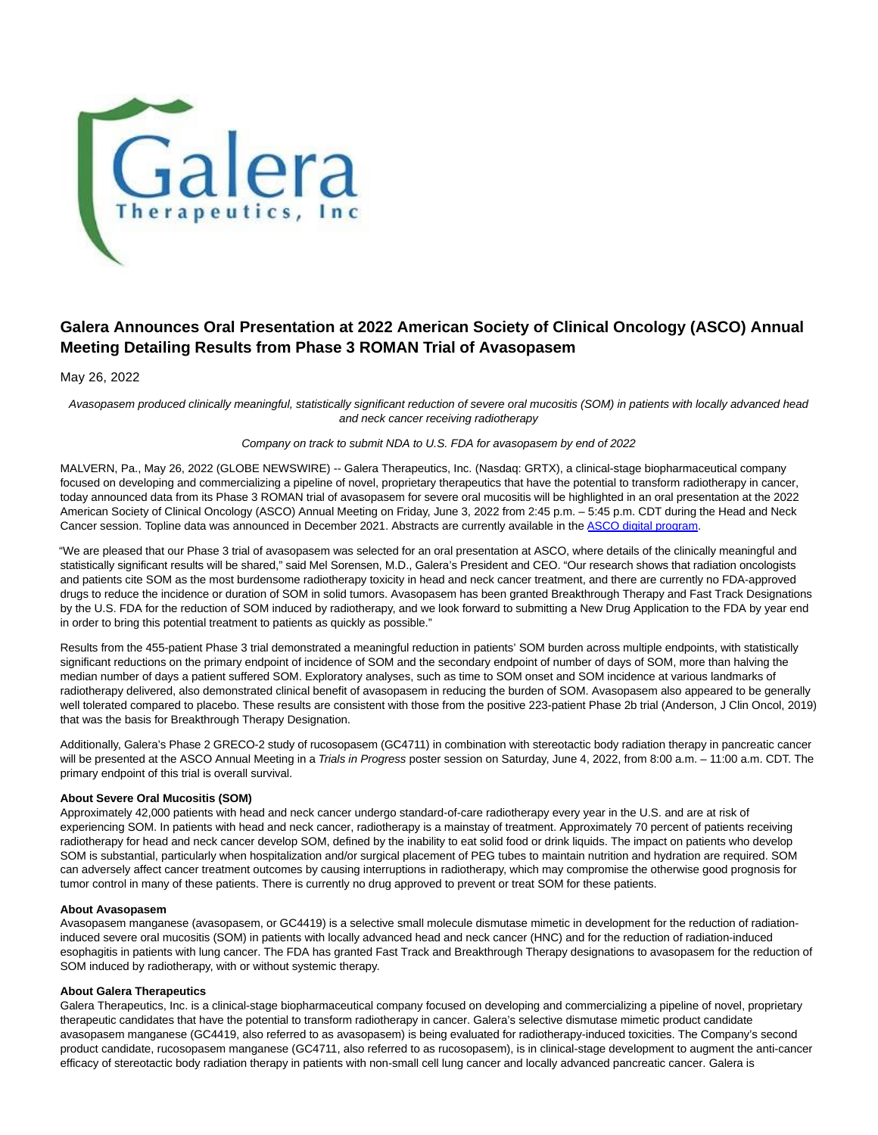

# **Galera Announces Oral Presentation at 2022 American Society of Clinical Oncology (ASCO) Annual Meeting Detailing Results from Phase 3 ROMAN Trial of Avasopasem**

May 26, 2022

Avasopasem produced clinically meaningful, statistically significant reduction of severe oral mucositis (SOM) in patients with locally advanced head and neck cancer receiving radiotherapy

### Company on track to submit NDA to U.S. FDA for avasopasem by end of 2022

MALVERN, Pa., May 26, 2022 (GLOBE NEWSWIRE) -- Galera Therapeutics, Inc. (Nasdaq: GRTX), a clinical-stage biopharmaceutical company focused on developing and commercializing a pipeline of novel, proprietary therapeutics that have the potential to transform radiotherapy in cancer, today announced data from its Phase 3 ROMAN trial of avasopasem for severe oral mucositis will be highlighted in an oral presentation at the 2022 American Society of Clinical Oncology (ASCO) Annual Meeting on Friday, June 3, 2022 from 2:45 p.m. – 5:45 p.m. CDT during the Head and Neck Cancer session. Topline data was announced in December 2021. Abstracts are currently available in the [ASCO digital program.](https://www.globenewswire.com/Tracker?data=7yqJIoaNx515EbHCV2NC4j2gx3r16vfVisnsyjxWR0bHnRShc-IoBHneR5GNUUbIfdWLB2YbqTEDmFyH6mIE57OJbYkkS2OnN7uvYK32AcMrr_RRdb_LBJ_6Sg3sTK3_41_aNX_YiMCYkJrzG9_PnUIJ_xkwsuGGYlhmec9hlBzK4qimI9jvKtwQLNdasqMIdCQkXNpRUxMr4B3oBP2po1wri_sMbdtEX84iUJVTsmMovpEC1au6j0luP-Vqky_soCa1t3xW5a-vdaFb3m8fObgt6DiYam-KqhRF8fLIeLM=)

"We are pleased that our Phase 3 trial of avasopasem was selected for an oral presentation at ASCO, where details of the clinically meaningful and statistically significant results will be shared," said Mel Sorensen, M.D., Galera's President and CEO. "Our research shows that radiation oncologists and patients cite SOM as the most burdensome radiotherapy toxicity in head and neck cancer treatment, and there are currently no FDA-approved drugs to reduce the incidence or duration of SOM in solid tumors. Avasopasem has been granted Breakthrough Therapy and Fast Track Designations by the U.S. FDA for the reduction of SOM induced by radiotherapy, and we look forward to submitting a New Drug Application to the FDA by year end in order to bring this potential treatment to patients as quickly as possible."

Results from the 455-patient Phase 3 trial demonstrated a meaningful reduction in patients' SOM burden across multiple endpoints, with statistically significant reductions on the primary endpoint of incidence of SOM and the secondary endpoint of number of days of SOM, more than halving the median number of days a patient suffered SOM. Exploratory analyses, such as time to SOM onset and SOM incidence at various landmarks of radiotherapy delivered, also demonstrated clinical benefit of avasopasem in reducing the burden of SOM. Avasopasem also appeared to be generally well tolerated compared to placebo. These results are consistent with those from the positive 223-patient Phase 2b trial (Anderson, J Clin Oncol, 2019) that was the basis for Breakthrough Therapy Designation.

Additionally, Galera's Phase 2 GRECO-2 study of rucosopasem (GC4711) in combination with stereotactic body radiation therapy in pancreatic cancer will be presented at the ASCO Annual Meeting in a Trials in Progress poster session on Saturday, June 4, 2022, from 8:00 a.m. - 11:00 a.m. CDT. The primary endpoint of this trial is overall survival.

## **About Severe Oral Mucositis (SOM)**

Approximately 42,000 patients with head and neck cancer undergo standard-of-care radiotherapy every year in the U.S. and are at risk of experiencing SOM. In patients with head and neck cancer, radiotherapy is a mainstay of treatment. Approximately 70 percent of patients receiving radiotherapy for head and neck cancer develop SOM, defined by the inability to eat solid food or drink liquids. The impact on patients who develop SOM is substantial, particularly when hospitalization and/or surgical placement of PEG tubes to maintain nutrition and hydration are required. SOM can adversely affect cancer treatment outcomes by causing interruptions in radiotherapy, which may compromise the otherwise good prognosis for tumor control in many of these patients. There is currently no drug approved to prevent or treat SOM for these patients.

#### **About Avasopasem**

Avasopasem manganese (avasopasem, or GC4419) is a selective small molecule dismutase mimetic in development for the reduction of radiationinduced severe oral mucositis (SOM) in patients with locally advanced head and neck cancer (HNC) and for the reduction of radiation-induced esophagitis in patients with lung cancer. The FDA has granted Fast Track and Breakthrough Therapy designations to avasopasem for the reduction of SOM induced by radiotherapy, with or without systemic therapy.

#### **About Galera Therapeutics**

Galera Therapeutics, Inc. is a clinical-stage biopharmaceutical company focused on developing and commercializing a pipeline of novel, proprietary therapeutic candidates that have the potential to transform radiotherapy in cancer. Galera's selective dismutase mimetic product candidate avasopasem manganese (GC4419, also referred to as avasopasem) is being evaluated for radiotherapy-induced toxicities. The Company's second product candidate, rucosopasem manganese (GC4711, also referred to as rucosopasem), is in clinical-stage development to augment the anti-cancer efficacy of stereotactic body radiation therapy in patients with non-small cell lung cancer and locally advanced pancreatic cancer. Galera is